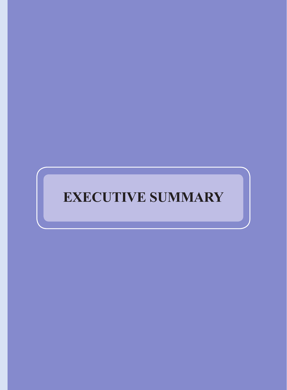# **EXECUTIVE SUMMARY**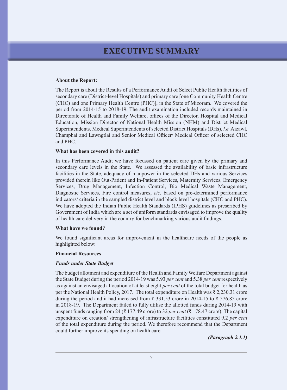# **executive summary**

#### **About the Report:**

The Report is about the Results of a Performance Audit of Select Public Health facilities of secondary care (District-level Hospitals) and primary care [one Community Health Centre (CHC) and one Primary Health Centre (PHC)], in the State of Mizoram. We covered the period from 2014-15 to 2018-19. The audit examination included records maintained in Directorate of Health and Family Welfare, offices of the Director, Hospital and Medical Education, Mission Director of National Health Mission (NHM) and District Medical Superintendents, Medical Superintendents of selected District Hospitals (DHs), *i.e.* Aizawl, Champhai and Lawngtlai and Senior Medical Officer/ Medical Officer of selected CHC and PHC.

#### **What has been covered in this audit?**

In this Performance Audit we have focussed on patient care given by the primary and secondary care levels in the State. We assessed the availability of basic infrastructure facilities in the State, adequacy of manpower in the selected DHs and various Services provided therein like Out-Patient and In-Patient Services, Maternity Services, Emergency Services, Drug Management, Infection Control, Bio Medical Waste Management, Diagnostic Services, Fire control measures, *etc.* based on pre-determined performance indicators/ criteria in the sampled district level and block level hospitals (CHC and PHC). We have adopted the Indian Public Health Standards (IPHS) guidelines as prescribed by Government of India which are a set of uniform standards envisaged to improve the quality of health care delivery in the country for benchmarking various audit findings.

#### **What have we found?**

We found significant areas for improvement in the healthcare needs of the people as highlighted below:

#### **Financial Resources**

#### *Funds under State Budget*

The budget allotment and expenditure of the Health and Family Welfare Department against the State Budget during the period 2014-19 was 5.93 *per cent* and 5.38 *per cent* respectively as against an envisaged allocation of at least eight *per cent* of the total budget for health as per the National Health Policy, 2017. The total expenditure on Health was ₹ 2,230.31 crore during the period and it had increased from ₹ 331.53 crore in 2014-15 to ₹ 576.85 crore in 2018-19. The Department failed to fully utilise the allotted funds during 2014-19 with unspent funds ranging from 24 (₹ 177.49 crore) to 32 *per cent* (₹ 178.47 crore). The capital expenditure on creation/ strengthening of infrastructure facilities constituted 9.2 *per cent* of the total expenditure during the period. We therefore recommend that the Department could further improve its spending on health care.

*(Paragraph 2.1.1)*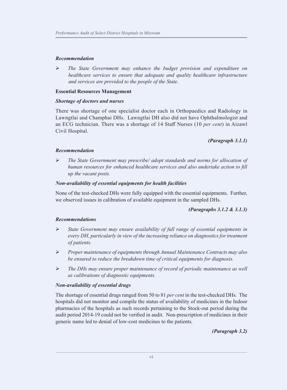#### *Recommendation*

 *The State Government may enhance the budget provision and expenditure on healthcare services to ensure that adequate and quality healthcare infrastructure and services are provided to the people of the State.*

#### **Essential Resources Management**

#### *Shortage of doctors and nurses*

There was shortage of one specialist doctor each in Orthopaedics and Radiology in Lawngtlai and Champhai DHs. Lawngtlai DH also did not have Ophthalmologist and an ECG technician. There was a shortage of 14 Staff Nurses (10 *per cent*) in Aizawl Civil Hospital.

*(Paragraph 3.1.1)*

#### *Recommendation*

 *The State Government may prescribe/ adopt standards and norms for allocation of human resources for enhanced healthcare services and also undertake action to fill up the vacant posts.*

#### *Non-availability of essential equipments for health facilities*

None of the test-checked DHs were fully equipped with the essential equipments. Further, we observed issues in calibration of available equipment in the sampled DHs.

#### *(Paragraphs 3.1.2 & 3.1.3)*

#### *Recommendations*

- *State Government may ensure availability of full range of essential equipments in every DH, particularly in view of the increasing reliance on diagnostics for treatment of patients.*
- *Proper maintenance of equipments through Annual Maintenance Contracts may also be ensured to reduce the breakdown time of critical equipments for diagnosis.*
- *The DHs may ensure proper maintenance of record of periodic maintenance as well as calibrations of diagnostic equipments.*

#### *Non-availability of essential drugs*

The shortage of essential drugs ranged from 50 to 81 *per cent* in the test-checked DHs. The hospitals did not monitor and compile the status of availability of medicines in the Indoor pharmacies of the hospitals as such records pertaining to the Stock-out period during the audit period 2014-19 could not be verified in audit. Non-prescription of medicines in their generic name led to denial of low-cost medicines to the patients.

*(Paragraph 3.2)*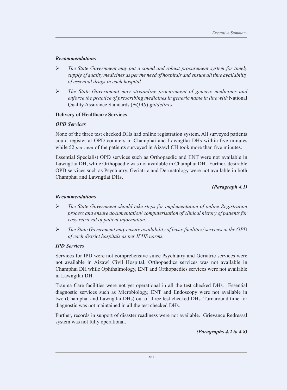# *Recommendations*

- *The State Government may put a sound and robust procurement system for timely supply of quality medicines as per the need of hospitals and ensure all time availability of essential drugs in each hospital.*
- *The State Government may streamline procurement of generic medicines and enforce the practice of prescribing medicines in generic name in line with* National Quality Assurance Standards (*NQAS*) *guidelines.*

# **Delivery of Healthcare Services**

# *OPD Services*

None of the three test checked DHs had online registration system. All surveyed patients could register at OPD counters in Champhai and Lawngtlai DHs within five minutes while 52 *per cent* of the patients surveyed in Aizawl CH took more than five minutes.

Essential Specialist OPD services such as Orthopaedic and ENT were not available in Lawngtlai DH, while Orthopaedic was not available in Champhai DH. Further, desirable OPD services such as Psychiatry, Geriatric and Dermatology were not available in both Champhai and Lawngtlai DHs.

*(Paragraph 4.1)*

# *Recommendations*

- *The State Government should take steps for implementation of online Registration process and ensure documentation/ computerisation of clinical history of patients for easy retrieval of patient information.*
- *The State Government may ensure availability of basic facilities/ services in the OPD of each district hospitals as per IPHS norms.*

#### *IPD Services*

Services for IPD were not comprehensive since Psychiatry and Geriatric services were not available in Aizawl Civil Hospital, Orthopaedics services was not available in Champhai DH while Ophthalmology, ENT and Orthopaedics services were not available in Lawngtlai DH.

Trauma Care facilities were not yet operational in all the test checked DHs. Essential diagnostic services such as Microbiology, ENT and Endoscopy were not available in two (Champhai and Lawngtlai DHs) out of three test checked DHs. Turnaround time for diagnostic was not maintained in all the test checked DHs.

Further, records in support of disaster readiness were not available. Grievance Redressal system was not fully operational.

*(Paragraphs 4.2 to 4.8)*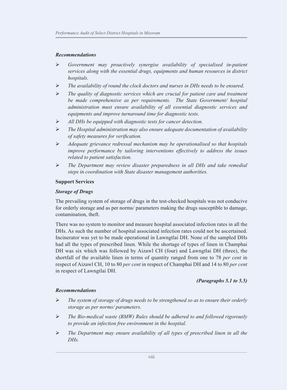#### *Recommendations*

- *Government may proactively synergise availability of specialised in-patient services along with the essential drugs, equipments and human resources in district hospitals.*
- *The availability of round the clock doctors and nurses in DHs needs to be ensured.*
- *The quality of diagnostic services which are crucial for patient care and treatment be made comprehensive as per requirements. The State Government/ hospital administration must ensure availability of all essential diagnostic services and equipments and improve turnaround time for diagnostic tests.*
- *All DHs be equipped with diagnostic tests for cancer detection.*
- *The Hospital administration may also ensure adequate documentation of availability of safety measures for verification.*
- *Adequate grievance redressal mechanism may be operationalised so that hospitals improve performance by tailoring interventions effectively to address the issues related to patient satisfaction.*
- *The Department may review disaster preparedness in all DHs and take remedial steps in coordination with State disaster management authorities.*

#### **Support Services**

#### *Storage of Drugs*

The prevailing system of storage of drugs in the test-checked hospitals was not conducive for orderly storage and as per norms/ parameters making the drugs susceptible to damage, contamination, theft.

There was no system to monitor and measure hospital associated infection rates in all the DHs. As such the number of hospital associated infection rates could not be ascertained. Incinerator was yet to be made operational in Lawngtlai DH. None of the sampled DHs had all the types of prescribed linen. While the shortage of types of linen in Champhai DH was six which was followed by Aizawl CH (four) and Lawngtlai DH (three), the shortfall of the available linen in terms of quantity ranged from one to 78 *per cent* in respect of Aizawl CH, 10 to 80 *per cent* in respect of Champhai DH and 14 to 80 *per cent* in respect of Lawngtlai DH.

# *(Paragraphs 5.1 to 5.5)*

#### *Recommendations*

- *The system of storage of drugs needs to be strengthened so as to ensure their orderly storage as per norms/ parameters.*
- *The Bio-medical waste (BMW) Rules should be adhered to and followed rigorously to provide an infection free environment in the hospital.*
- *The Department may ensure availability of all types of prescribed linen in all the DHs.*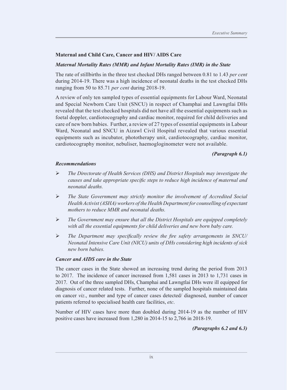# **Maternal and Child Care, Cancer and HIV/ AIDS Care**

#### *Maternal Mortality Rates (MMR) and Infant Mortality Rates (IMR) in the State*

The rate of stillbirths in the three test checked DHs ranged between 0.81 to 1.43 *per cent* during 2014-19. There was a high incidence of neonatal deaths in the test checked DHs ranging from 50 to 85.71 *per cent* during 2018-19.

A review of only ten sampled types of essential equipments for Labour Ward, Neonatal and Special Newborn Care Unit (SNCU) in respect of Champhai and Lawngtlai DHs revealed that the test checked hospitals did not have all the essential equipments such as foetal doppler, cardiotocography and cardiac monitor, required for child deliveries and care of new born babies. Further, a review of 27 types of essential equipments in Labour Ward, Neonatal and SNCU in Aizawl Civil Hospital revealed that various essential equipments such as incubator, phototherapy unit, cardiotocography, cardiac monitor, cardiotocography monitor, nebuliser, haemogloginometer were not available.

# *(Paragraph 6.1)*

#### *Recommendations*

- *The Directorate of Health Services (DHS) and District Hospitals may investigate the causes and take appropriate specific steps to reduce high incidence of maternal and neonatal deaths.*
- *The State Government may strictly monitor the involvement of Accredited Social Health Activist (ASHA) workers of the Health Department for counselling of expectant mothers to reduce MMR and neonatal deaths.*
- *The Government may ensure that all the District Hospitals are equipped completely with all the essential equipments for child deliveries and new born baby care.*
- *The Department may specifically review the fire safety arrangements in SNCU/ Neonatal Intensive Care Unit (NICU) units of DHs considering high incidents of sick new born babies.*

#### *Cancer and AIDS care in the State*

The cancer cases in the State showed an increasing trend during the period from 2013 to 2017. The incidence of cancer increased from 1,581 cases in 2013 to 1,731 cases in 2017. Out of the three sampled DHs, Champhai and Lawngtlai DHs were ill equipped for diagnosis of cancer related tests. Further, none of the sampled hospitals maintained data on cancer *viz*., number and type of cancer cases detected/ diagnosed, number of cancer patients referred to specialised health care facilities, *etc*.

Number of HIV cases have more than doubled during 2014-19 as the number of HIV positive cases have increased from 1,280 in 2014-15 to 2,766 in 2018-19.

*(Paragraphs 6.2 and 6.3)*